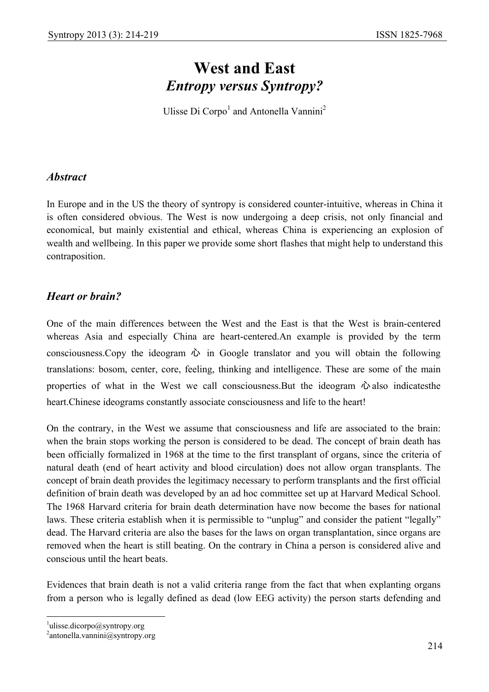# **West and East**  *Entropy versus Syntropy?*

Ulisse Di Corpo<sup>1</sup> and Antonella Vannini<sup>2</sup>

## *Abstract*

In Europe and in the US the theory of syntropy is considered counter-intuitive, whereas in China it is often considered obvious. The West is now undergoing a deep crisis, not only financial and economical, but mainly existential and ethical, whereas China is experiencing an explosion of wealth and wellbeing. In this paper we provide some short flashes that might help to understand this contraposition.

## *Heart or brain?*

One of the main differences between the West and the East is that the West is brain-centered whereas Asia and especially China are heart-centered.An example is provided by the term consciousness. Copy the ideogram  $\hat{w}$  in Google translator and you will obtain the following translations: bosom, center, core, feeling, thinking and intelligence. These are some of the main properties of what in the West we call consciousness. But the ideogram  $\ddot{\omega}$  also indicatesthe heart.Chinese ideograms constantly associate consciousness and life to the heart!

On the contrary, in the West we assume that consciousness and life are associated to the brain: when the brain stops working the person is considered to be dead. The concept of brain death has been officially formalized in 1968 at the time to the first transplant of organs, since the criteria of natural death (end of heart activity and blood circulation) does not allow organ transplants. The concept of brain death provides the legitimacy necessary to perform transplants and the first official definition of brain death was developed by an ad hoc committee set up at Harvard Medical School. The 1968 Harvard criteria for brain death determination have now become the bases for national laws. These criteria establish when it is permissible to "unplug" and consider the patient "legally" dead. The Harvard criteria are also the bases for the laws on organ transplantation, since organs are removed when the heart is still beating. On the contrary in China a person is considered alive and conscious until the heart beats.

Evidences that brain death is not a valid criteria range from the fact that when explanting organs from a person who is legally defined as dead (low EEG activity) the person starts defending and

 $\overline{a}$ 

 $\frac{1}{2}$ ulisse.dicorpo@syntropy.org

<sup>2</sup> antonella.vannini@syntropy.org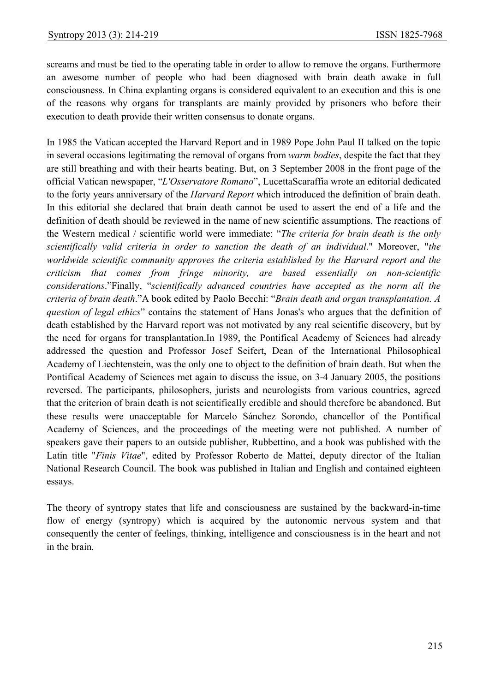screams and must be tied to the operating table in order to allow to remove the organs. Furthermore an awesome number of people who had been diagnosed with brain death awake in full consciousness. In China explanting organs is considered equivalent to an execution and this is one of the reasons why organs for transplants are mainly provided by prisoners who before their execution to death provide their written consensus to donate organs.

In 1985 the Vatican accepted the Harvard Report and in 1989 Pope John Paul II talked on the topic in several occasions legitimating the removal of organs from *warm bodies*, despite the fact that they are still breathing and with their hearts beating. But, on 3 September 2008 in the front page of the official Vatican newspaper, "*L'Osservatore Romano*", LucettaScaraffia wrote an editorial dedicated to the forty years anniversary of the *Harvard Report* which introduced the definition of brain death. In this editorial she declared that brain death cannot be used to assert the end of a life and the definition of death should be reviewed in the name of new scientific assumptions. The reactions of the Western medical / scientific world were immediate: "*The criteria for brain death is the only scientifically valid criteria in order to sanction the death of an individual*." Moreover, "*the worldwide scientific community approves the criteria established by the Harvard report and the criticism that comes from fringe minority, are based essentially on non-scientific considerations*."Finally, "*scientifically advanced countries have accepted as the norm all the criteria of brain death*."A book edited by Paolo Becchi: "*Brain death and organ transplantation. A question of legal ethics*" contains the statement of Hans Jonas's who argues that the definition of death established by the Harvard report was not motivated by any real scientific discovery, but by the need for organs for transplantation.In 1989, the Pontifical Academy of Sciences had already addressed the question and Professor Josef Seifert, Dean of the International Philosophical Academy of Liechtenstein, was the only one to object to the definition of brain death. But when the Pontifical Academy of Sciences met again to discuss the issue, on 3-4 January 2005, the positions reversed. The participants, philosophers, jurists and neurologists from various countries, agreed that the criterion of brain death is not scientifically credible and should therefore be abandoned. But these results were unacceptable for Marcelo Sánchez Sorondo, chancellor of the Pontifical Academy of Sciences, and the proceedings of the meeting were not published. A number of speakers gave their papers to an outside publisher, Rubbettino, and a book was published with the Latin title "*Finis Vitae*", edited by Professor Roberto de Mattei, deputy director of the Italian National Research Council. The book was published in Italian and English and contained eighteen essays.

The theory of syntropy states that life and consciousness are sustained by the backward-in-time flow of energy (syntropy) which is acquired by the autonomic nervous system and that consequently the center of feelings, thinking, intelligence and consciousness is in the heart and not in the brain.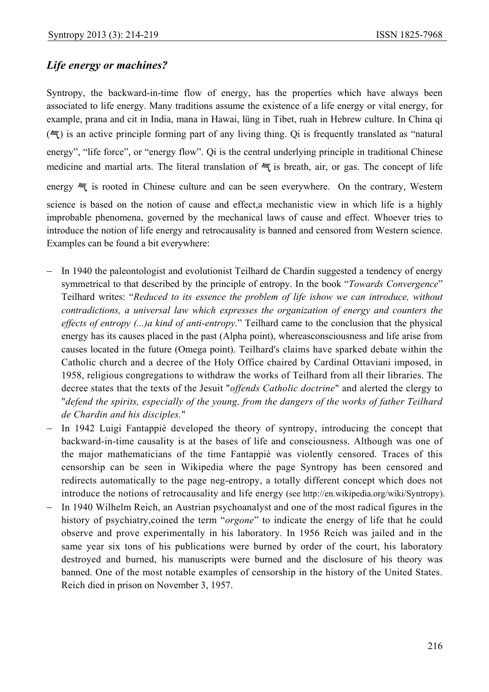# *Life energy or machines?*

Syntropy, the backward-in-time flow of energy, has the properties which have always been associated to life energy. Many traditions assume the existence of a life energy or vital energy, for example, prana and cit in India, mana in Hawai, lüng in Tibet, ruah in Hebrew culture. In China qi  $(\equiv)$  is an active principle forming part of any living thing. Oi is frequently translated as "natural" energy", "life force", or "energy flow". Qi is the central underlying principle in traditional Chinese medicine and martial arts. The literal translation of  $\equiv$  is breath, air, or gas. The concept of life energy  $\equiv$  is rooted in Chinese culture and can be seen everywhere. On the contrary, Western science is based on the notion of cause and effect,a mechanistic view in which life is a highly improbable phenomena, governed by the mechanical laws of cause and effect. Whoever tries to introduce the notion of life energy and retrocausality is banned and censored from Western science. Examples can be found a bit everywhere:

- − In 1940 the paleontologist and evolutionist Teilhard de Chardin suggested a tendency of energy symmetrical to that described by the principle of entropy. In the book "*Towards Convergence*" Teilhard writes: "*Reduced to its essence the problem of life ishow we can introduce, without contradictions, a universal law which expresses the organization of energy and counters the effects of entropy (...)a kind of anti-entropy.*" Teilhard came to the conclusion that the physical energy has its causes placed in the past (Alpha point), whereasconsciousness and life arise from causes located in the future (Omega point). Teilhard's claims have sparked debate within the Catholic church and a decree of the Holy Office chaired by Cardinal Ottaviani imposed, in 1958, religious congregations to withdraw the works of Teilhard from all their libraries. The decree states that the texts of the Jesuit "*offends Catholic doctrine*" and alerted the clergy to "*defend the spirits, especially of the young, from the dangers of the works of father Teilhard de Chardin and his disciples.*"
- − In 1942 Luigi Fantappiè developed the theory of syntropy, introducing the concept that backward-in-time causality is at the bases of life and consciousness. Although was one of the major mathematicians of the time Fantappiè was violently censored. Traces of this censorship can be seen in Wikipedia where the page Syntropy has been censored and redirects automatically to the page neg-entropy, a totally different concept which does not introduce the notions of retrocausality and life energy (see http://en.wikipedia.org/wiki/Syntropy).
- In 1940 Wilhelm Reich, an Austrian psychoanalyst and one of the most radical figures in the history of psychiatry,coined the term "*orgone*" to indicate the energy of life that he could observe and prove experimentally in his laboratory. In 1956 Reich was jailed and in the same year six tons of his publications were burned by order of the court, his laboratory destroyed and burned, his manuscripts were burned and the disclosure of his theory was banned. One of the most notable examples of censorship in the history of the United States. Reich died in prison on November 3, 1957.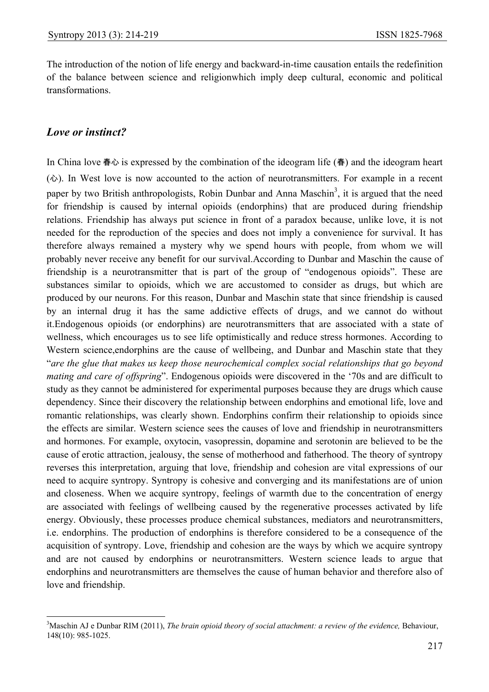The introduction of the notion of life energy and backward-in-time causation entails the redefinition of the balance between science and religionwhich imply deep cultural, economic and political transformations.

## *Love or instinct?*

 $\overline{a}$ 

In China love 春心 is expressed by the combination of the ideogram life (春) and the ideogram heart (心). In West love is now accounted to the action of neurotransmitters. For example in a recent paper by two British anthropologists, Robin Dunbar and Anna Maschin<sup>3</sup>, it is argued that the need for friendship is caused by internal opioids (endorphins) that are produced during friendship relations. Friendship has always put science in front of a paradox because, unlike love, it is not needed for the reproduction of the species and does not imply a convenience for survival. It has therefore always remained a mystery why we spend hours with people, from whom we will probably never receive any benefit for our survival.According to Dunbar and Maschin the cause of friendship is a neurotransmitter that is part of the group of "endogenous opioids". These are substances similar to opioids, which we are accustomed to consider as drugs, but which are produced by our neurons. For this reason, Dunbar and Maschin state that since friendship is caused by an internal drug it has the same addictive effects of drugs, and we cannot do without it.Endogenous opioids (or endorphins) are neurotransmitters that are associated with a state of wellness, which encourages us to see life optimistically and reduce stress hormones. According to Western science,endorphins are the cause of wellbeing, and Dunbar and Maschin state that they "*are the glue that makes us keep those neurochemical complex social relationships that go beyond mating and care of offspring*". Endogenous opioids were discovered in the '70s and are difficult to study as they cannot be administered for experimental purposes because they are drugs which cause dependency. Since their discovery the relationship between endorphins and emotional life, love and romantic relationships, was clearly shown. Endorphins confirm their relationship to opioids since the effects are similar. Western science sees the causes of love and friendship in neurotransmitters and hormones. For example, oxytocin, vasopressin, dopamine and serotonin are believed to be the cause of erotic attraction, jealousy, the sense of motherhood and fatherhood. The theory of syntropy reverses this interpretation, arguing that love, friendship and cohesion are vital expressions of our need to acquire syntropy. Syntropy is cohesive and converging and its manifestations are of union and closeness. When we acquire syntropy, feelings of warmth due to the concentration of energy are associated with feelings of wellbeing caused by the regenerative processes activated by life energy. Obviously, these processes produce chemical substances, mediators and neurotransmitters, i.e. endorphins. The production of endorphins is therefore considered to be a consequence of the acquisition of syntropy. Love, friendship and cohesion are the ways by which we acquire syntropy and are not caused by endorphins or neurotransmitters. Western science leads to argue that endorphins and neurotransmitters are themselves the cause of human behavior and therefore also of love and friendship.

 $3$ Maschin AJ e Dunbar RIM (2011), *The brain opioid theory of social attachment: a review of the evidence*, Behaviour, 148(10): 985-1025.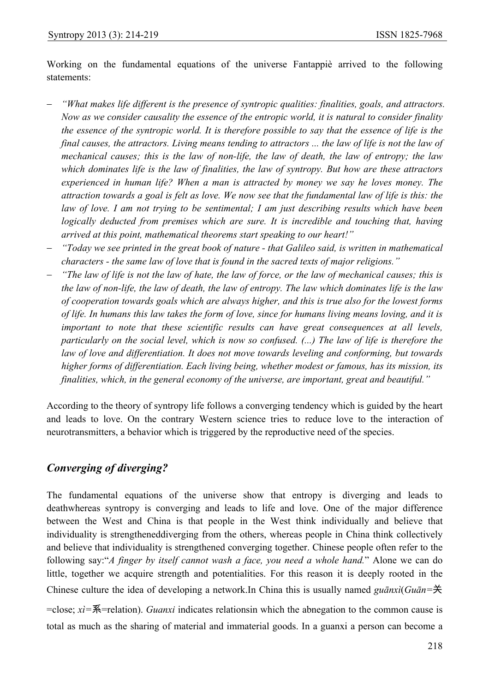Working on the fundamental equations of the universe Fantappiè arrived to the following statements:

- − *"What makes life different is the presence of syntropic qualities: finalities, goals, and attractors. Now as we consider causality the essence of the entropic world, it is natural to consider finality the essence of the syntropic world. It is therefore possible to say that the essence of life is the final causes, the attractors. Living means tending to attractors ... the law of life is not the law of mechanical causes; this is the law of non-life, the law of death, the law of entropy; the law which dominates life is the law of finalities, the law of syntropy. But how are these attractors experienced in human life? When a man is attracted by money we say he loves money. The attraction towards a goal is felt as love. We now see that the fundamental law of life is this: the law of love. I am not trying to be sentimental; I am just describing results which have been logically deducted from premises which are sure. It is incredible and touching that, having arrived at this point, mathematical theorems start speaking to our heart!"*
- − *"Today we see printed in the great book of nature that Galileo said, is written in mathematical characters - the same law of love that is found in the sacred texts of major religions."*
- − *"The law of life is not the law of hate, the law of force, or the law of mechanical causes; this is the law of non-life, the law of death, the law of entropy. The law which dominates life is the law of cooperation towards goals which are always higher, and this is true also for the lowest forms of life. In humans this law takes the form of love, since for humans living means loving, and it is important to note that these scientific results can have great consequences at all levels, particularly on the social level, which is now so confused. (...) The law of life is therefore the law of love and differentiation. It does not move towards leveling and conforming, but towards higher forms of differentiation. Each living being, whether modest or famous, has its mission, its finalities, which, in the general economy of the universe, are important, great and beautiful."*

According to the theory of syntropy life follows a converging tendency which is guided by the heart and leads to love. On the contrary Western science tries to reduce love to the interaction of neurotransmitters, a behavior which is triggered by the reproductive need of the species.

## *Converging of diverging?*

The fundamental equations of the universe show that entropy is diverging and leads to deathwhereas syntropy is converging and leads to life and love. One of the major difference between the West and China is that people in the West think individually and believe that individuality is strengtheneddiverging from the others, whereas people in China think collectively and believe that individuality is strengthened converging together. Chinese people often refer to the following say:"*A finger by itself cannot wash a face, you need a whole hand.*" Alone we can do little, together we acquire strength and potentialities. For this reason it is deeply rooted in the Chinese culture the idea of developing a network.In China this is usually named *guānxì*(*Guān=*关 =close; *xì=*系=relation). *Guanxi* indicates relationsin which the abnegation to the common cause is total as much as the sharing of material and immaterial goods. In a guanxi a person can become a